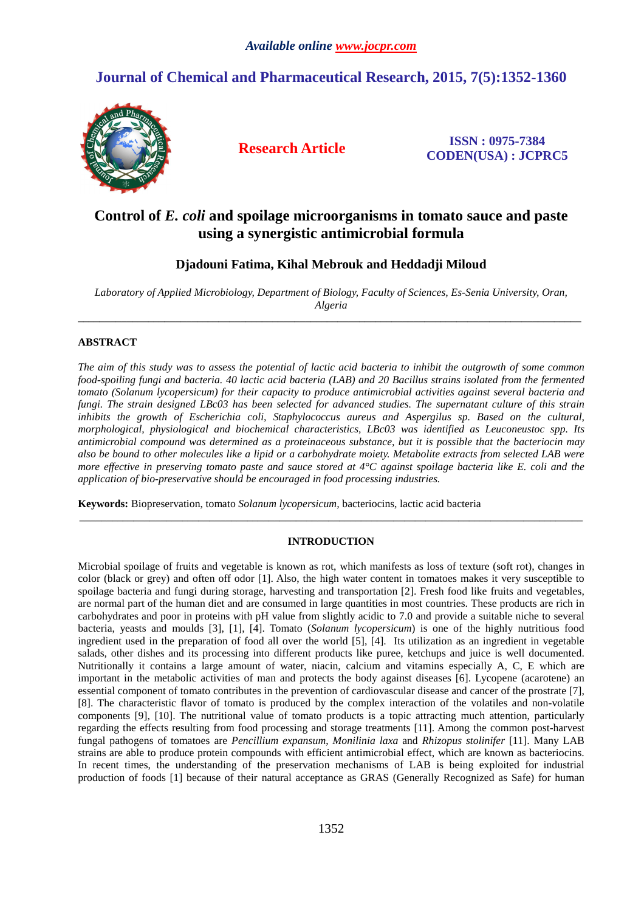# **Journal of Chemical and Pharmaceutical Research, 2015, 7(5):1352-1360**



**Research Article ISSN : 0975-7384 CODEN(USA) : JCPRC5**

## **Control of** *E. coli* **and spoilage microorganisms in tomato sauce and paste using a synergistic antimicrobial formula**

## **Djadouni Fatima, Kihal Mebrouk and Heddadji Miloud**

*Laboratory of Applied Microbiology, Department of Biology, Faculty of Sciences, Es-Senia University, Oran, Algeria*   $\overline{a}$  , and the contribution of the contribution of the contribution of the contribution of the contribution of the contribution of the contribution of the contribution of the contribution of the contribution of the co

## **ABSTRACT**

*The aim of this study was to assess the potential of lactic acid bacteria to inhibit the outgrowth of some common food-spoiling fungi and bacteria. 40 lactic acid bacteria (LAB) and 20 Bacillus strains isolated from the fermented tomato (Solanum lycopersicum) for their capacity to produce antimicrobial activities against several bacteria and fungi. The strain designed LBc03 has been selected for advanced studies. The supernatant culture of this strain inhibits the growth of Escherichia coli, Staphylococcus aureus and Aspergilus sp. Based on the cultural, morphological, physiological and biochemical characteristics, LBc03 was identified as Leuconeustoc spp. Its antimicrobial compound was determined as a proteinaceous substance, but it is possible that the bacteriocin may also be bound to other molecules like a lipid or a carbohydrate moiety. Metabolite extracts from selected LAB were more effective in preserving tomato paste and sauce stored at 4°C against spoilage bacteria like E. coli and the application of bio-preservative should be encouraged in food processing industries.* 

**Keywords:** Biopreservation, tomato *Solanum lycopersicum,* bacteriocins, lactic acid bacteria

## **INTRODUCTION**

\_\_\_\_\_\_\_\_\_\_\_\_\_\_\_\_\_\_\_\_\_\_\_\_\_\_\_\_\_\_\_\_\_\_\_\_\_\_\_\_\_\_\_\_\_\_\_\_\_\_\_\_\_\_\_\_\_\_\_\_\_\_\_\_\_\_\_\_\_\_\_\_\_\_\_\_\_\_\_\_\_\_\_\_\_\_\_\_\_\_\_\_\_

Microbial spoilage of fruits and vegetable is known as rot, which manifests as loss of texture (soft rot), changes in color (black or grey) and often off odor [1]. Also, the high water content in tomatoes makes it very susceptible to spoilage bacteria and fungi during storage, harvesting and transportation [2]. Fresh food like fruits and vegetables, are normal part of the human diet and are consumed in large quantities in most countries. These products are rich in carbohydrates and poor in proteins with pH value from slightly acidic to 7.0 and provide a suitable niche to several bacteria, yeasts and moulds [3], [1], [4]. Tomato (*Solanum lycopersicum*) is one of the highly nutritious food ingredient used in the preparation of food all over the world [5], [4]. Its utilization as an ingredient in vegetable salads, other dishes and its processing into different products like puree, ketchups and juice is well documented. Nutritionally it contains a large amount of water, niacin, calcium and vitamins especially A, C, E which are important in the metabolic activities of man and protects the body against diseases [6]. Lycopene (acarotene) an essential component of tomato contributes in the prevention of cardiovascular disease and cancer of the prostrate [7], [8]. The characteristic flavor of tomato is produced by the complex interaction of the volatiles and non-volatile components [9], [10]. The nutritional value of tomato products is a topic attracting much attention, particularly regarding the effects resulting from food processing and storage treatments [11]. Among the common post-harvest fungal pathogens of tomatoes are *Pencillium expansum*, *Monilinia laxa* and *Rhizopus stolinifer* [11]. Many LAB strains are able to produce protein compounds with efficient antimicrobial effect, which are known as bacteriocins. In recent times, the understanding of the preservation mechanisms of LAB is being exploited for industrial production of foods [1] because of their natural acceptance as GRAS (Generally Recognized as Safe) for human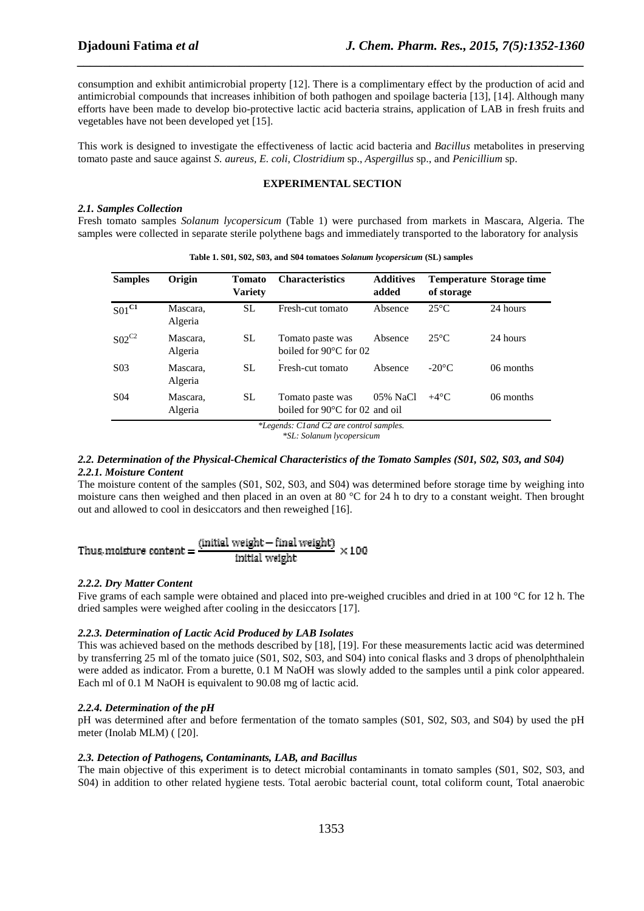consumption and exhibit antimicrobial property [12]. There is a complimentary effect by the production of acid and antimicrobial compounds that increases inhibition of both pathogen and spoilage bacteria [13], [14]. Although many efforts have been made to develop bio-protective lactic acid bacteria strains, application of LAB in fresh fruits and vegetables have not been developed yet [15].

*\_\_\_\_\_\_\_\_\_\_\_\_\_\_\_\_\_\_\_\_\_\_\_\_\_\_\_\_\_\_\_\_\_\_\_\_\_\_\_\_\_\_\_\_\_\_\_\_\_\_\_\_\_\_\_\_\_\_\_\_\_\_\_\_\_\_\_\_\_\_\_\_\_\_\_\_\_\_*

This work is designed to investigate the effectiveness of lactic acid bacteria and *Bacillus* metabolites in preserving tomato paste and sauce against *S. aureus, E. coli*, *Clostridium* sp., *Aspergillus* sp., and *Penicillium* sp.

#### **EXPERIMENTAL SECTION**

#### *2.1. Samples Collection*

Fresh tomato samples *Solanum lycopersicum* (Table 1) were purchased from markets in Mascara, Algeria. The samples were collected in separate sterile polythene bags and immediately transported to the laboratory for analysis

| <b>Samples</b>   | Origin              | Tomato<br><b>Variety</b> | <b>Characteristics</b>                                       | <b>Additives</b><br>added | of storage      | <b>Temperature Storage time</b> |
|------------------|---------------------|--------------------------|--------------------------------------------------------------|---------------------------|-----------------|---------------------------------|
| $S01^{C1}$       | Mascara,<br>Algeria | SL.                      | Fresh-cut tomato                                             | Absence                   | $25^{\circ}$ C  | 24 hours                        |
| $SO2^{C2}$       | Mascara,<br>Algeria | <b>SL</b>                | Tomato paste was<br>boiled for $90^{\circ}$ C for 02         | Absence                   | $25^{\circ}$ C  | 24 hours                        |
| S <sub>0</sub> 3 | Mascara,<br>Algeria | <b>SL</b>                | Fresh-cut tomato                                             | Absence                   | $-20^{\circ}$ C | 06 months                       |
| S <sub>04</sub>  | Mascara,<br>Algeria | SL.                      | Tomato paste was<br>boiled for $90^{\circ}$ C for 02 and oil | 05% NaCl                  | $+4^{\circ}$ C  | 06 months                       |

**Table 1. S01, S02, S03, and S04 tomatoes** *Solanum lycopersicum* **(SL) samples** 

*\*Legends: C1and C2 are control samples.* 

*\*SL: Solanum lycopersicum*

### *2.2. Determination of the Physical-Chemical Characteristics of the Tomato Samples (S01, S02, S03, and S04) 2.2.1. Moisture Content*

The moisture content of the samples (S01, S02, S03, and S04) was determined before storage time by weighing into moisture cans then weighed and then placed in an oven at 80 °C for 24 h to dry to a constant weight. Then brought out and allowed to cool in desiccators and then reweighed [16].

Thus, moisture content = 
$$
\frac{\text{(initial weight} - \text{final weight})}{\text{initial weight}} \times 100
$$

#### *2.2.2. Dry Matter Content*

Five grams of each sample were obtained and placed into pre-weighed crucibles and dried in at 100 °C for 12 h. The dried samples were weighed after cooling in the desiccators [17].

### *2.2.3. Determination of Lactic Acid Produced by LAB Isolates*

This was achieved based on the methods described by [18], [19]. For these measurements lactic acid was determined by transferring 25 ml of the tomato juice (S01, S02, S03, and S04) into conical flasks and 3 drops of phenolphthalein were added as indicator. From a burette, 0.1 M NaOH was slowly added to the samples until a pink color appeared. Each ml of 0.1 M NaOH is equivalent to 90.08 mg of lactic acid.

#### *2.2.4. Determination of the pH*

pH was determined after and before fermentation of the tomato samples (S01, S02, S03, and S04) by used the pH meter (Inolab MLM) ( [20].

#### *2.3. Detection of Pathogens, Contaminants, LAB, and Bacillus*

The main objective of this experiment is to detect microbial contaminants in tomato samples (S01, S02, S03, and S04) in addition to other related hygiene tests. Total aerobic bacterial count, total coliform count, Total anaerobic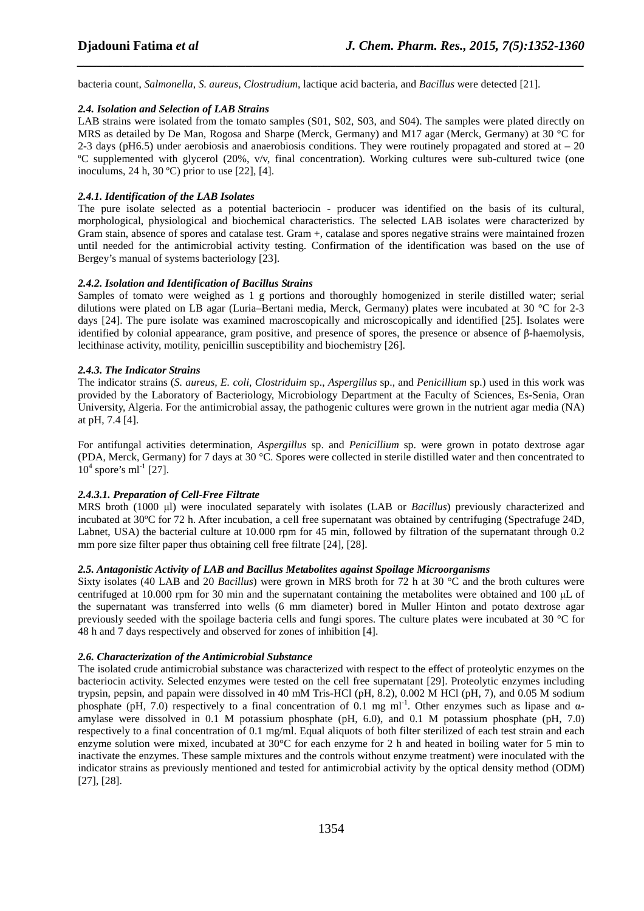bacteria count, *Salmonella*, *S. aureus*, *Clostrudium*, lactique acid bacteria, and *Bacillus* were detected [21].

#### *2.4. Isolation and Selection of LAB Strains*

LAB strains were isolated from the tomato samples (S01, S02, S03, and S04). The samples were plated directly on MRS as detailed by De Man, Rogosa and Sharpe (Merck, Germany) and M17 agar (Merck, Germany) at 30 °C for 2-3 days (pH6.5) under aerobiosis and anaerobiosis conditions. They were routinely propagated and stored at  $-20$ ºC supplemented with glycerol (20%, v/v, final concentration). Working cultures were sub-cultured twice (one inoculums, 24 h, 30 ºC) prior to use [22], [4].

*\_\_\_\_\_\_\_\_\_\_\_\_\_\_\_\_\_\_\_\_\_\_\_\_\_\_\_\_\_\_\_\_\_\_\_\_\_\_\_\_\_\_\_\_\_\_\_\_\_\_\_\_\_\_\_\_\_\_\_\_\_\_\_\_\_\_\_\_\_\_\_\_\_\_\_\_\_\_*

#### *2.4.1. Identification of the LAB Isolates*

The pure isolate selected as a potential bacteriocin - producer was identified on the basis of its cultural, morphological, physiological and biochemical characteristics. The selected LAB isolates were characterized by Gram stain, absence of spores and catalase test. Gram +, catalase and spores negative strains were maintained frozen until needed for the antimicrobial activity testing. Confirmation of the identification was based on the use of Bergey's manual of systems bacteriology [23].

#### *2.4.2. Isolation and Identification of Bacillus Strains*

Samples of tomato were weighed as 1 g portions and thoroughly homogenized in sterile distilled water; serial dilutions were plated on LB agar (Luria–Bertani media, Merck, Germany) plates were incubated at 30 °C for 2-3 days [24]. The pure isolate was examined macroscopically and microscopically and identified [25]. Isolates were identified by colonial appearance, gram positive, and presence of spores, the presence or absence of β-haemolysis, lecithinase activity, motility, penicillin susceptibility and biochemistry [26].

#### *2.4.3. The Indicator Strains*

The indicator strains (*S. aureus, E. coli*, *Clostriduim* sp., *Aspergillus* sp.*,* and *Penicillium* sp.) used in this work was provided by the Laboratory of Bacteriology, Microbiology Department at the Faculty of Sciences, Es-Senia, Oran University, Algeria. For the antimicrobial assay, the pathogenic cultures were grown in the nutrient agar media (NA) at pH, 7.4 [4].

For antifungal activities determination, *Aspergillus* sp. and *Penicillium* sp. were grown in potato dextrose agar (PDA, Merck, Germany) for 7 days at 30 °C. Spores were collected in sterile distilled water and then concentrated to  $10^4$  spore's ml<sup>-1</sup> [27].

#### *2.4.3.1. Preparation of Cell-Free Filtrate*

MRS broth (1000 µl) were inoculated separately with isolates (LAB or *Bacillus*) previously characterized and incubated at 30ºC for 72 h. After incubation, a cell free supernatant was obtained by centrifuging (Spectrafuge 24D, Labnet, USA) the bacterial culture at 10.000 rpm for 45 min, followed by filtration of the supernatant through 0.2 mm pore size filter paper thus obtaining cell free filtrate [24], [28].

### *2.5. Antagonistic Activity of LAB and Bacillus Metabolites against Spoilage Microorganisms*

Sixty isolates (40 LAB and 20 *Bacillus*) were grown in MRS broth for 72 h at 30 °C and the broth cultures were centrifuged at 10.000 rpm for 30 min and the supernatant containing the metabolites were obtained and 100 µL of the supernatant was transferred into wells (6 mm diameter) bored in Muller Hinton and potato dextrose agar previously seeded with the spoilage bacteria cells and fungi spores. The culture plates were incubated at 30 °C for 48 h and 7 days respectively and observed for zones of inhibition [4].

#### *2.6. Characterization of the Antimicrobial Substance*

The isolated crude antimicrobial substance was characterized with respect to the effect of proteolytic enzymes on the bacteriocin activity. Selected enzymes were tested on the cell free supernatant [29]. Proteolytic enzymes including trypsin, pepsin, and papain were dissolved in 40 mM Tris-HCl (pH, 8.2), 0.002 M HCl (pH, 7), and 0.05 M sodium phosphate (pH, 7.0) respectively to a final concentration of 0.1 mg ml<sup>-1</sup>. Other enzymes such as lipase and  $\alpha$ amylase were dissolved in 0.1 M potassium phosphate (pH, 6.0), and 0.1 M potassium phosphate (pH, 7.0) respectively to a final concentration of 0.1 mg/ml. Equal aliquots of both filter sterilized of each test strain and each enzyme solution were mixed, incubated at 30°C for each enzyme for 2 h and heated in boiling water for 5 min to inactivate the enzymes. These sample mixtures and the controls without enzyme treatment) were inoculated with the indicator strains as previously mentioned and tested for antimicrobial activity by the optical density method (ODM) [27], [28].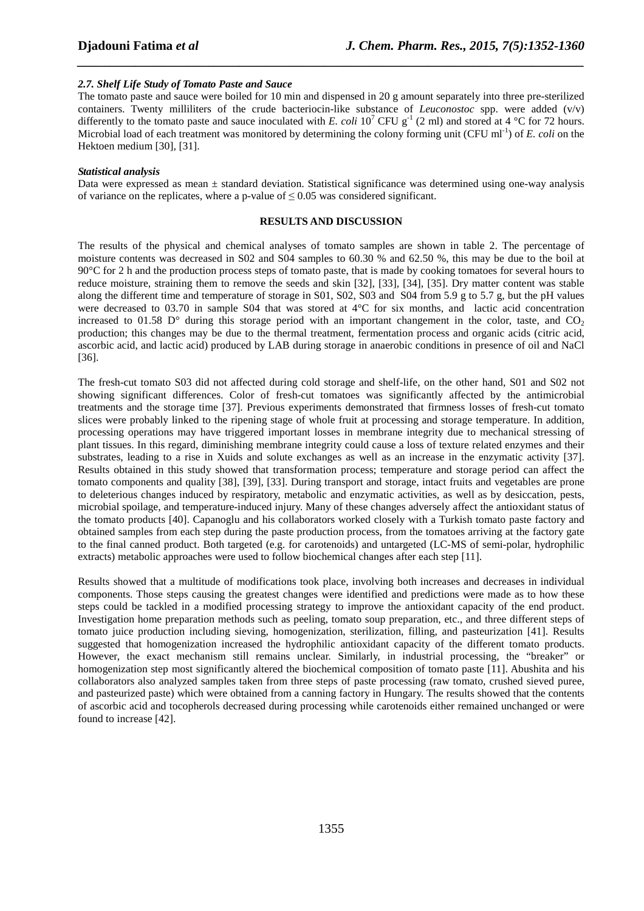#### *2.7. Shelf Life Study of Tomato Paste and Sauce*

The tomato paste and sauce were boiled for 10 min and dispensed in 20 g amount separately into three pre-sterilized containers. Twenty milliliters of the crude bacteriocin-like substance of *Leuconostoc* spp. were added (v/v) differently to the tomato paste and sauce inoculated with *E. coli* 10<sup>7</sup> CFU  $g^{-1}$  (2 ml) and stored at 4 °C for 72 hours. Microbial load of each treatment was monitored by determining the colony forming unit (CFU ml<sup>-1</sup>) of *E. coli* on the Hektoen medium [30], [31].

*\_\_\_\_\_\_\_\_\_\_\_\_\_\_\_\_\_\_\_\_\_\_\_\_\_\_\_\_\_\_\_\_\_\_\_\_\_\_\_\_\_\_\_\_\_\_\_\_\_\_\_\_\_\_\_\_\_\_\_\_\_\_\_\_\_\_\_\_\_\_\_\_\_\_\_\_\_\_*

#### *Statistical analysis*

Data were expressed as mean  $\pm$  standard deviation. Statistical significance was determined using one-way analysis of variance on the replicates, where a p-value of  $\leq 0.05$  was considered significant.

#### **RESULTS AND DISCUSSION**

The results of the physical and chemical analyses of tomato samples are shown in table 2. The percentage of moisture contents was decreased in S02 and S04 samples to 60.30 % and 62.50 %, this may be due to the boil at 90°C for 2 h and the production process steps of tomato paste, that is made by cooking tomatoes for several hours to reduce moisture, straining them to remove the seeds and skin [32], [33], [34], [35]. Dry matter content was stable along the different time and temperature of storage in S01, S02, S03 and S04 from 5.9 g to 5.7 g, but the pH values were decreased to 03.70 in sample S04 that was stored at 4°C for six months, and lactic acid concentration increased to 01.58  $D^{\circ}$  during this storage period with an important changement in the color, taste, and CO<sub>2</sub> production; this changes may be due to the thermal treatment, fermentation process and organic acids (citric acid, ascorbic acid, and lactic acid) produced by LAB during storage in anaerobic conditions in presence of oil and NaCl [36].

The fresh-cut tomato S03 did not affected during cold storage and shelf-life, on the other hand, S01 and S02 not showing significant differences. Color of fresh-cut tomatoes was significantly affected by the antimicrobial treatments and the storage time [37]. Previous experiments demonstrated that firmness losses of fresh-cut tomato slices were probably linked to the ripening stage of whole fruit at processing and storage temperature. In addition, processing operations may have triggered important losses in membrane integrity due to mechanical stressing of plant tissues. In this regard, diminishing membrane integrity could cause a loss of texture related enzymes and their substrates, leading to a rise in Xuids and solute exchanges as well as an increase in the enzymatic activity [37]. Results obtained in this study showed that transformation process; temperature and storage period can affect the tomato components and quality [38], [39], [33]. During transport and storage, intact fruits and vegetables are prone to deleterious changes induced by respiratory, metabolic and enzymatic activities, as well as by desiccation, pests, microbial spoilage, and temperature-induced injury. Many of these changes adversely affect the antioxidant status of the tomato products [40]. Capanoglu and his collaborators worked closely with a Turkish tomato paste factory and obtained samples from each step during the paste production process, from the tomatoes arriving at the factory gate to the final canned product. Both targeted (e.g. for carotenoids) and untargeted (LC-MS of semi-polar, hydrophilic extracts) metabolic approaches were used to follow biochemical changes after each step [11].

Results showed that a multitude of modifications took place, involving both increases and decreases in individual components. Those steps causing the greatest changes were identified and predictions were made as to how these steps could be tackled in a modified processing strategy to improve the antioxidant capacity of the end product. Investigation home preparation methods such as peeling, tomato soup preparation, etc., and three different steps of tomato juice production including sieving, homogenization, sterilization, filling, and pasteurization [41]. Results suggested that homogenization increased the hydrophilic antioxidant capacity of the different tomato products. However, the exact mechanism still remains unclear. Similarly, in industrial processing, the "breaker" or homogenization step most significantly altered the biochemical composition of tomato paste [11]. Abushita and his collaborators also analyzed samples taken from three steps of paste processing (raw tomato, crushed sieved puree, and pasteurized paste) which were obtained from a canning factory in Hungary. The results showed that the contents of ascorbic acid and tocopherols decreased during processing while carotenoids either remained unchanged or were found to increase [42].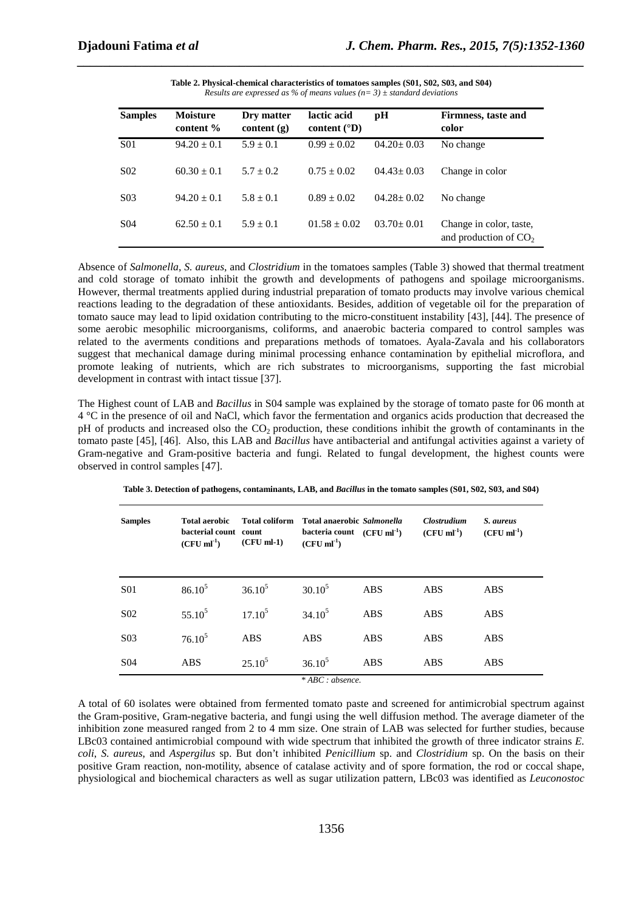| <b>Samples</b>   | <b>Moisture</b><br>content % | Dry matter<br>content $(g)$ | lactic acid<br>content $({}^{\circ}{\rm D})$ | pН               | Firmness, taste and<br>color                       |
|------------------|------------------------------|-----------------------------|----------------------------------------------|------------------|----------------------------------------------------|
| <b>S01</b>       | $94.20 \pm 0.1$              | $5.9 \pm 0.1$               | $0.99 \pm 0.02$                              | $04.20 \pm 0.03$ | No change                                          |
| S <sub>0</sub> 2 | $60.30 \pm 0.1$              | $5.7 + 0.2$                 | $0.75 \pm 0.02$                              | $04.43 \pm 0.03$ | Change in color                                    |
| S <sub>03</sub>  | $94.20 \pm 0.1$              | $5.8 \pm 0.1$               | $0.89 \pm 0.02$                              | $04.28 \pm 0.02$ | No change                                          |
| S <sub>04</sub>  | $62.50 \pm 0.1$              | $5.9 \pm 0.1$               | $01.58 \pm 0.02$                             | $03.70 \pm 0.01$ | Change in color, taste,<br>and production of $CO2$ |

**Table 2. Physical-chemical characteristics of tomatoes samples (S01, S02, S03, and S04)**  *Results are expressed as % of means values (n= 3) ± standard deviations* 

*\_\_\_\_\_\_\_\_\_\_\_\_\_\_\_\_\_\_\_\_\_\_\_\_\_\_\_\_\_\_\_\_\_\_\_\_\_\_\_\_\_\_\_\_\_\_\_\_\_\_\_\_\_\_\_\_\_\_\_\_\_\_\_\_\_\_\_\_\_\_\_\_\_\_\_\_\_\_*

Absence of *Salmonella*, *S. aureus*, and *Clostridium* in the tomatoes samples (Table 3) showed that thermal treatment and cold storage of tomato inhibit the growth and developments of pathogens and spoilage microorganisms. However, thermal treatments applied during industrial preparation of tomato products may involve various chemical reactions leading to the degradation of these antioxidants. Besides, addition of vegetable oil for the preparation of tomato sauce may lead to lipid oxidation contributing to the micro-constituent instability [43], [44]. The presence of some aerobic mesophilic microorganisms, coliforms, and anaerobic bacteria compared to control samples was related to the averments conditions and preparations methods of tomatoes. Ayala-Zavala and his collaborators suggest that mechanical damage during minimal processing enhance contamination by epithelial microflora, and promote leaking of nutrients, which are rich substrates to microorganisms, supporting the fast microbial development in contrast with intact tissue [37].

The Highest count of LAB and *Bacillus* in S04 sample was explained by the storage of tomato paste for 06 month at 4 °C in the presence of oil and NaCl, which favor the fermentation and organics acids production that decreased the pH of products and increased olso the CO2 production, these conditions inhibit the growth of contaminants in the tomato paste [45], [46]. Also, this LAB and *Bacillus* have antibacterial and antifungal activities against a variety of Gram-negative and Gram-positive bacteria and fungi. Related to fungal development, the highest counts were observed in control samples [47].

| <b>Samples</b>   | Total aerobic<br>bacterial count count<br>$(CFU \, \text{ml}^{-1})$ | <b>Total coliform</b><br>$(CFU$ ml-1) | Total anaerobic Salmonella<br>bacteria count $(CFU ml^{-1})$<br>$(CFU \, ml^{-1})$ |            | Clostrudium<br>$(CFU \, ml^{-1})$ | S. aureus<br>$(CFU \, ml^{-1})$ |
|------------------|---------------------------------------------------------------------|---------------------------------------|------------------------------------------------------------------------------------|------------|-----------------------------------|---------------------------------|
| <b>S01</b>       | $86.10^{5}$                                                         | $36.10^{5}$                           | $30.10^{5}$                                                                        | <b>ABS</b> | ABS                               | <b>ABS</b>                      |
| S <sub>0</sub> 2 | $55.10^5$                                                           | $17.10^{5}$                           | $34.10^{5}$                                                                        | <b>ABS</b> | <b>ABS</b>                        | <b>ABS</b>                      |
| S <sub>03</sub>  | $76.10^5$                                                           | <b>ABS</b>                            | ABS                                                                                | <b>ABS</b> | <b>ABS</b>                        | <b>ABS</b>                      |
| S <sub>04</sub>  | <b>ABS</b>                                                          | $25.10^5$                             | $36.10^{5}$<br>$*$ ADC $$                                                          | <b>ABS</b> | <b>ABS</b>                        | <b>ABS</b>                      |

**Table 3. Detection of pathogens, contaminants, LAB, and** *Bacillus* **in the tomato samples (S01, S02, S03, and S04)** 

*\* ABC : absence.* 

A total of 60 isolates were obtained from fermented tomato paste and screened for antimicrobial spectrum against the Gram-positive, Gram-negative bacteria, and fungi using the well diffusion method. The average diameter of the inhibition zone measured ranged from 2 to 4 mm size. One strain of LAB was selected for further studies, because LBc03 contained antimicrobial compound with wide spectrum that inhibited the growth of three indicator strains *E. coli*, *S. aureus*, and *Aspergilus* sp. But don't inhibited *Penicillium* sp. and *Clostridium* sp. On the basis on their positive Gram reaction, non-motility, absence of catalase activity and of spore formation, the rod or coccal shape, physiological and biochemical characters as well as sugar utilization pattern, LBc03 was identified as *Leuconostoc*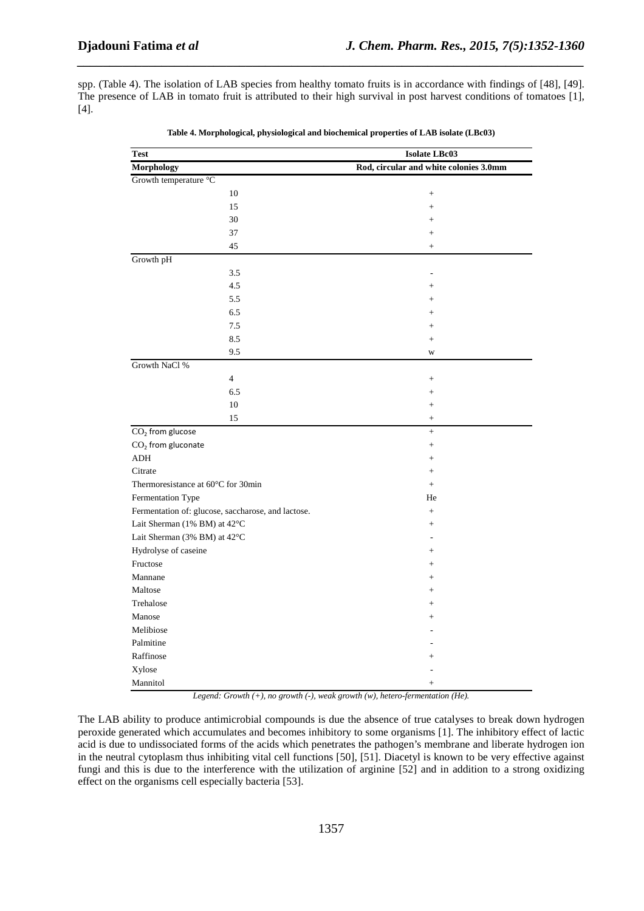spp. (Table 4). The isolation of LAB species from healthy tomato fruits is in accordance with findings of [48], [49]. The presence of LAB in tomato fruit is attributed to their high survival in post harvest conditions of tomatoes [1], [4].

*\_\_\_\_\_\_\_\_\_\_\_\_\_\_\_\_\_\_\_\_\_\_\_\_\_\_\_\_\_\_\_\_\_\_\_\_\_\_\_\_\_\_\_\_\_\_\_\_\_\_\_\_\_\_\_\_\_\_\_\_\_\_\_\_\_\_\_\_\_\_\_\_\_\_\_\_\_\_*

| <b>Test</b>                                        | <b>Isolate LBc03</b>                   |  |  |
|----------------------------------------------------|----------------------------------------|--|--|
| <b>Morphology</b>                                  | Rod, circular and white colonies 3.0mm |  |  |
| Growth temperature °C                              |                                        |  |  |
| 10                                                 | $\ddot{}$                              |  |  |
| 15                                                 | $\ddot{}$                              |  |  |
| 30                                                 | $+$                                    |  |  |
| 37                                                 |                                        |  |  |
| 45                                                 | $^{+}$                                 |  |  |
| Growth pH                                          |                                        |  |  |
| 3.5                                                |                                        |  |  |
| 4.5                                                | $+$                                    |  |  |
| 5.5                                                | $+$                                    |  |  |
| 6.5                                                | $\ddot{}$                              |  |  |
| 7.5                                                | $+$                                    |  |  |
| 8.5                                                | $+$                                    |  |  |
| 9.5                                                | W                                      |  |  |
| Growth NaCl %                                      |                                        |  |  |
| $\overline{4}$                                     | $^{+}$                                 |  |  |
| 6.5                                                |                                        |  |  |
| 10                                                 | $+$                                    |  |  |
| 15                                                 | $\! + \!$                              |  |  |
| $\overline{{\rm CO}_2}$ from glucose               | $\! + \!\!\!\!$                        |  |  |
| $CO2$ from gluconate                               | $^{+}$                                 |  |  |
| <b>ADH</b>                                         | $^{+}$                                 |  |  |
| Citrate                                            | $+$                                    |  |  |
| Thermoresistance at 60°C for 30min                 | $+$                                    |  |  |
| Fermentation Type                                  | He                                     |  |  |
| Fermentation of: glucose, saccharose, and lactose. | $\ddot{}$                              |  |  |
| Lait Sherman (1% BM) at 42°C                       | $^{+}$                                 |  |  |
| Lait Sherman (3% BM) at 42°C                       |                                        |  |  |
| Hydrolyse of caseine                               | $^{+}$                                 |  |  |
| Fructose                                           | $^{+}$                                 |  |  |
| Mannane                                            | $+$                                    |  |  |
| Maltose                                            | $^{+}$                                 |  |  |
| Trehalose                                          | $^{+}$                                 |  |  |
| Manose                                             | $\ddot{}$                              |  |  |
| Melibiose                                          |                                        |  |  |
| Palmitine                                          |                                        |  |  |
| Raffinose                                          | $+$                                    |  |  |
| Xylose                                             |                                        |  |  |
| Mannitol                                           | $^{+}$                                 |  |  |

*Legend: Growth (+), no growth (-), weak growth (w), hetero-fermentation (He).* 

The LAB ability to produce antimicrobial compounds is due the absence of true catalyses to break down hydrogen peroxide generated which accumulates and becomes inhibitory to some organisms [1]. The inhibitory effect of lactic acid is due to undissociated forms of the acids which penetrates the pathogen's membrane and liberate hydrogen ion in the neutral cytoplasm thus inhibiting vital cell functions [50], [51]. Diacetyl is known to be very effective against fungi and this is due to the interference with the utilization of arginine [52] and in addition to a strong oxidizing effect on the organisms cell especially bacteria [53].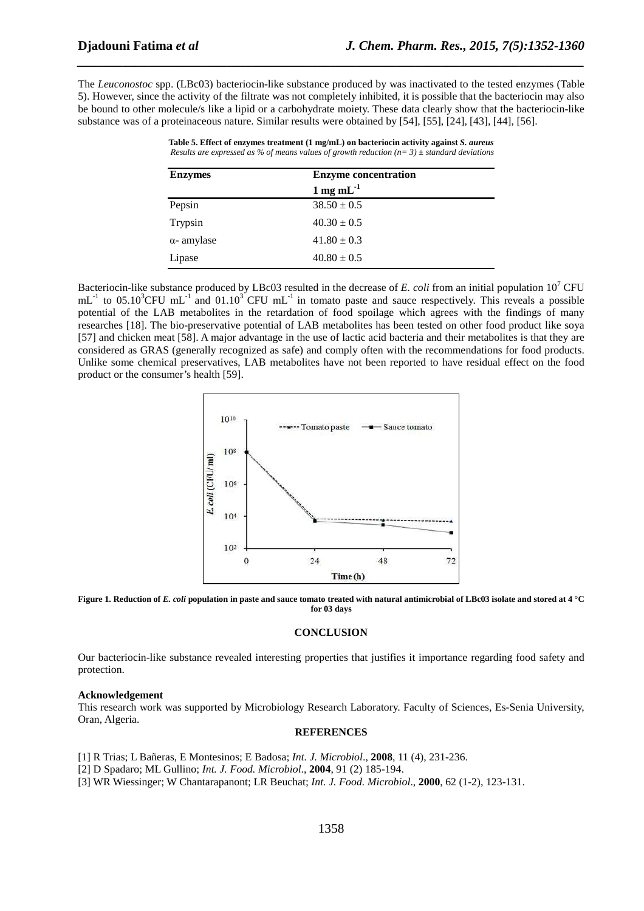The *Leuconostoc* spp. (LBc03) bacteriocin-like substance produced by was inactivated to the tested enzymes (Table 5). However, since the activity of the filtrate was not completely inhibited, it is possible that the bacteriocin may also be bound to other molecule/s like a lipid or a carbohydrate moiety. These data clearly show that the bacteriocin-like substance was of a proteinaceous nature. Similar results were obtained by [54], [55], [24], [43], [44], [56].

*\_\_\_\_\_\_\_\_\_\_\_\_\_\_\_\_\_\_\_\_\_\_\_\_\_\_\_\_\_\_\_\_\_\_\_\_\_\_\_\_\_\_\_\_\_\_\_\_\_\_\_\_\_\_\_\_\_\_\_\_\_\_\_\_\_\_\_\_\_\_\_\_\_\_\_\_\_\_*

| <b>Enzymes</b>     | <b>Enzyme concentration</b> |  |  |
|--------------------|-----------------------------|--|--|
|                    | 1 mg m $L^{-1}$             |  |  |
| Pepsin             | $38.50 \pm 0.5$             |  |  |
| Trypsin            | $40.30 \pm 0.5$             |  |  |
| $\alpha$ - amylase | $41.80 \pm 0.3$             |  |  |
| Lipase             | $40.80 \pm 0.5$             |  |  |

**Table 5. Effect of enzymes treatment (1 mg/mL) on bacteriocin activity against** *S. aureus Results are expressed as % of means values of growth reduction (n= 3) ± standard deviations* 

Bacteriocin-like substance produced by LBc03 resulted in the decrease of *E. coli* from an initial population  $10^7$  CFU  $mL^{-1}$  to 05.10<sup>3</sup>CFU mL<sup>-1</sup> and 01.10<sup>3</sup> CFU mL<sup>-1</sup> in tomato paste and sauce respectively. This reveals a possible potential of the LAB metabolites in the retardation of food spoilage which agrees with the findings of many researches [18]. The bio-preservative potential of LAB metabolites has been tested on other food product like soya [57] and chicken meat [58]. A major advantage in the use of lactic acid bacteria and their metabolites is that they are considered as GRAS (generally recognized as safe) and comply often with the recommendations for food products. Unlike some chemical preservatives, LAB metabolites have not been reported to have residual effect on the food product or the consumer's health [59].



**Figure 1. Reduction of** *E. coli* **population in paste and sauce tomato treated with natural antimicrobial of LBc03 isolate and stored at 4 °C for 03 days** 

#### **CONCLUSION**

Our bacteriocin-like substance revealed interesting properties that justifies it importance regarding food safety and protection.

#### **Acknowledgement**

This research work was supported by Microbiology Research Laboratory. Faculty of Sciences, Es-Senia University, Oran, Algeria.

#### **REFERENCES**

[1] R Trias; L Bañeras, E Montesinos; E Badosa; *Int. J. Microbiol*., **2008**, 11 (4), 231-236.

[2] D Spadaro; ML Gullino; *Int. J. Food. Microbiol*., **2004**, 91 (2) 185-194.

[3] WR Wiessinger; W Chantarapanont; LR Beuchat; *Int. J. Food. Microbiol*., **2000**, 62 (1-2), 123-131.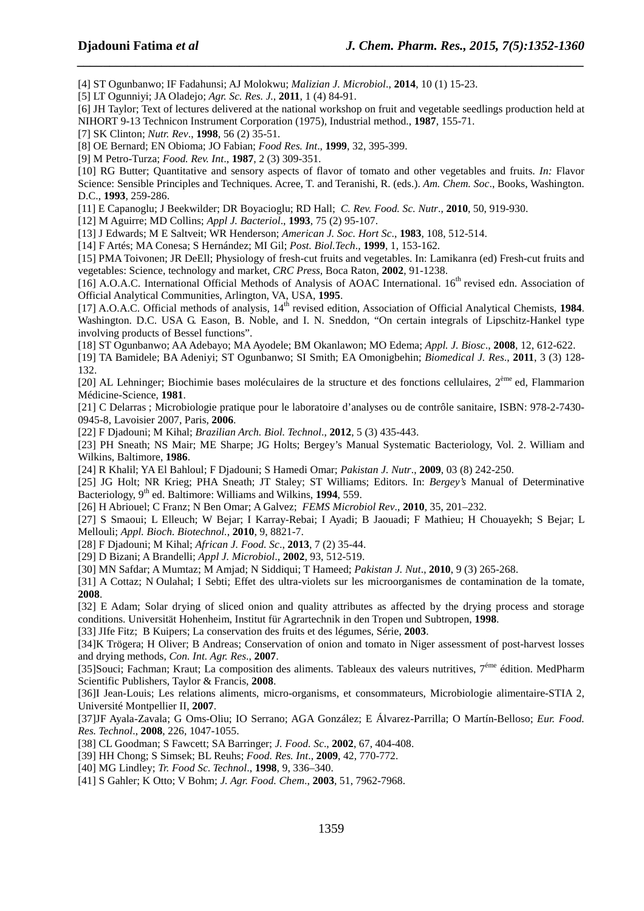[4] ST Ogunbanwo; IF Fadahunsi; AJ Molokwu; *Malizian J. Microbiol*., **2014**, 10 (1) 15-23.

[5] LT Ogunniyi; JA Oladejo; *Agr. Sc. Res. J.*, **2011**, 1 (4) 84-91.

[6] JH Taylor; Text of lectures delivered at the national workshop on fruit and vegetable seedlings production held at NIHORT 9-13 Technicon Instrument Corporation (1975), Industrial method., **1987**, 155-71.

*\_\_\_\_\_\_\_\_\_\_\_\_\_\_\_\_\_\_\_\_\_\_\_\_\_\_\_\_\_\_\_\_\_\_\_\_\_\_\_\_\_\_\_\_\_\_\_\_\_\_\_\_\_\_\_\_\_\_\_\_\_\_\_\_\_\_\_\_\_\_\_\_\_\_\_\_\_\_*

[7] SK Clinton; *Nutr. Rev*., **1998**, 56 (2) 35-51.

[8] OE Bernard; EN Obioma; JO Fabian; *Food Res. Int*., **1999**, 32, 395-399.

[9] M Petro-Turza; *Food. Rev. Int*., **1987**, 2 (3) 309-351.

[10] RG Butter; Quantitative and sensory aspects of flavor of tomato and other vegetables and fruits. *In:* Flavor Science: Sensible Principles and Techniques. Acree, T. and Teranishi, R. (eds.). *Am. Chem. Soc*., Books, Washington. D.C., **1993**, 259-286.

[11] E Capanoglu; J Beekwilder; DR Boyacioglu; RD Hall; *C. Rev. Food. Sc. Nutr*., **2010**, 50, 919-930.

[12] M Aguirre; MD Collins; *Appl J. Bacteriol*., **1993**, 75 (2) 95-107.

[13] J Edwards; M E Saltveit; WR Henderson; *American J. Soc. Hort Sc*., **1983**, 108, 512-514.

[14] F Artés; MA Conesa; S Hernández; MI Gil; *Post. Biol.Tech*., **1999**, 1, 153-162.

[15] PMA Toivonen; JR DeEll; Physiology of fresh-cut fruits and vegetables. In: Lamikanra (ed) Fresh-cut fruits and vegetables: Science, technology and market, *CRC Press*, Boca Raton, **2002**, 91-1238.

[16] A.O.A.C. International Official Methods of Analysis of AOAC International. 16<sup>th</sup> revised edn. Association of Official Analytical Communities, Arlington, VA, USA, **1995**.

[17] A.O.A.C. Official methods of analysis, 14<sup>th</sup> revised edition, Association of Official Analytical Chemists, 1984. Washington. D.C. USA G. Eason, B. Noble, and I. N. Sneddon, "On certain integrals of Lipschitz-Hankel type involving products of Bessel functions".

[18] ST Ogunbanwo; AA Adebayo; MA Ayodele; BM Okanlawon; MO Edema; *Appl. J. Biosc*., **2008**, 12, 612-622.

[19] TA Bamidele; BA Adeniyi; ST Ogunbanwo; SI Smith; EA Omonigbehin; *Biomedical J. Res*., **2011**, 3 (3) 128- 132.

[20] AL Lehninger; Biochimie bases moléculaires de la structure et des fonctions cellulaires,  $2^{em}$ e ed, Flammarion Médicine-Science, **1981**.

[21] C Delarras ; Microbiologie pratique pour le laboratoire d'analyses ou de contrôle sanitaire, ISBN: 978-2-7430- 0945-8, Lavoisier 2007, Paris, **2006**.

[22] F Djadouni; M Kihal; *Brazilian Arch. Biol. Technol*., **2012**, 5 (3) 435-443.

[23] PH Sneath; NS Mair; ME Sharpe; JG Holts; Bergey's Manual Systematic Bacteriology, Vol. 2. William and Wilkins, Baltimore, **1986**.

[24] R Khalil; YA El Bahloul; F Djadouni; S Hamedi Omar; *Pakistan J. Nutr*., **2009**, 03 (8) 242-250.

[25] JG Holt; NR Krieg; PHA Sneath; JT Staley; ST Williams; Editors. In: *Bergey's* Manual of Determinative Bacteriology, 9th ed. Baltimore: Williams and Wilkins, **1994**, 559.

[26] H Abriouel; C Franz; N Ben Omar; A Galvez; *FEMS Microbiol Rev*., **2010**, 35, 201–232.

[27] S Smaoui; L Elleuch; W Bejar; I Karray-Rebai; I Ayadi; B Jaouadi; F Mathieu; H Chouayekh; S Bejar; L Mellouli; *Appl. Bioch. Biotechnol.*, **2010**, 9, 8821-7.

[28] F Djadouni; M Kihal; *African J. Food. Sc*., **2013**, 7 (2) 35-44.

[29] D Bizani; A Brandelli; *Appl J. Microbiol*., **2002**, 93, 512-519.

[30] MN Safdar; A Mumtaz; M Amjad; N Siddiqui; T Hameed; *Pakistan J. Nut*., **2010**, 9 (3) 265-268.

[31] A Cottaz; N Oulahal; I Sebti; Effet des ultra-violets sur les microorganismes de contamination de la tomate, **2008**.

[32] E Adam; Solar drying of sliced onion and quality attributes as affected by the drying process and storage conditions. Universität Hohenheim, Institut für Agrartechnik in den Tropen und Subtropen, **1998**.

[33] JIfe Fitz; B Kuipers; La conservation des fruits et des légumes, Série, **2003**.

[34]K Trögera; H Oliver; B Andreas; Conservation of onion and tomato in Niger assessment of post-harvest losses and drying methods, *Con. Int. Agr. Res*., **2007**.

[35]Souci; Fachman; Kraut; La composition des aliments. Tableaux des valeurs nutritives, 7<sup>éme</sup> édition. MedPharm Scientific Publishers, Taylor & Francis, **2008**.

[36]I Jean-Louis; Les relations aliments, micro-organisms, et consommateurs, Microbiologie alimentaire-STIA 2, Université Montpellier II, **2007**.

[37]JF Ayala-Zavala; G Oms-Oliu; IO Serrano; AGA González; E Álvarez-Parrilla; O Martín-Belloso; *Eur. Food. Res. Technol*., **2008**, 226, 1047-1055.

[38] CL Goodman; S Fawcett; SA Barringer; *J. Food. Sc*., **2002**, 67, 404-408.

[39] HH Chong; S Simsek; BL Reuhs; *Food. Res. Int*., **2009**, 42, 770-772.

[40] MG Lindley; *Tr. Food Sc. Technol*., **1998**, 9, 336–340.

[41] S Gahler; K Otto; V Bohm; *J. Agr. Food. Chem*., **2003**, 51, 7962-7968.